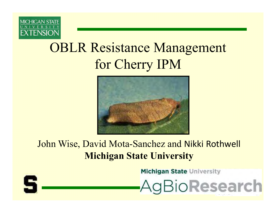

## OBLR Resistance Managementfor Cherry IPM



John Wise, David Mota-Sanchez and Nikki Rothwell**Michigan State University**

**Michigan State University** 



AgBioResearch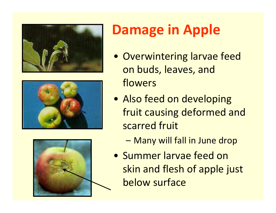





# **Damage in Apple**

- Overwintering larvae feed on buds, leaves, and flowers
- Also feed on developing fruit causing deformed and scarred fruit
	- –Many will fall in June drop
- Summer larvae feed on skin and flesh of apple just below surface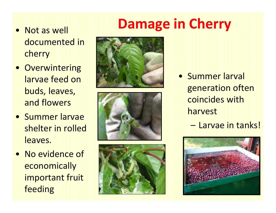## **Damage in Cherry**

- Not as well documented in cherry
- Overwintering larvae feed on buds, leaves, and flowers
- Summer larvae shelter in rolled leaves.
- No evidence of **economically** important fruit feeding







- Summer larval generation often coincides with harvest
	- –Larvae in tanks!

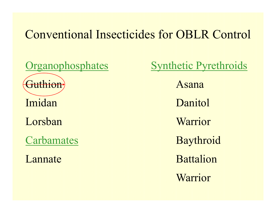### Conventional Insecticides for OBLR Control

Guthion<sup>)</sup> ImidanLorsbanCarbamates

Lannate

Organophosphates Synthetic Pyrethroids Asana **Danitol**  Warrior Baythroid BattalionWarrior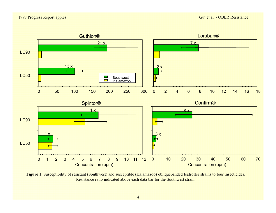

**Figure 1**. Susceptibility of resistant (Southwest) and susceptible (Kalamazoo) obliquebanded leafroller strains to four insecticides. Resistance ratio indicated above each data bar for the Southwest strain.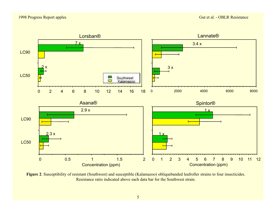#### 1998 Progress Report apples



**Figure 2**. Susceptibility of resistant (Southwest) and susceptible (Kalamazoo) obliquebanded leafroller strains to four insecticides. Resistance ratio indicated above each data bar for the Southwest strain.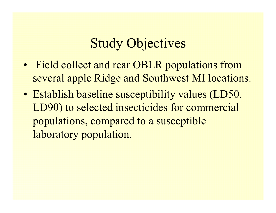## Study Objectives

- Field collect and rear OBLR populations from several apple Ridge and Southwest MI locations.
- Establish baseline susceptibility values (LD50, LD90) to selected insecticides for commercial populations, compared to a susceptible laboratory population.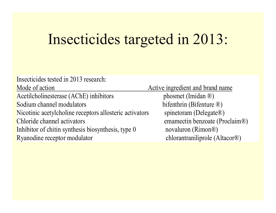# Insecticides targeted in 2013:

| Insecticides tested in 2013 research:                   |                                  |
|---------------------------------------------------------|----------------------------------|
| Mode of action                                          | Active ingredient and brand name |
| Acetilcholinesterase (AChE) inhibitors                  | phosmet (Imidan $\circledR$ )    |
| Sodium channel modulators                               | bifenthrin (Bifenture ®)         |
| Nicotinic acetylcholine receptors allosteric activators | spinetoram (Delegate®)           |
| Chloride channel activators                             | emamectin benzoate (Proclaim®)   |
| Inhibitor of chitin synthesis biosynthesis, type 0      | novaluron (Rimon®)               |
| Ryanodine receptor modulator                            | chlorantraniliprole (Altacor®)   |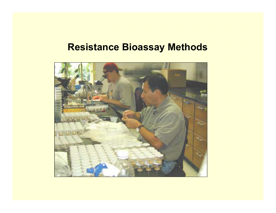#### **Resistance Bioassay Methods**

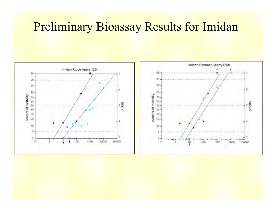#### Preliminary Bioassay Results for Imidan

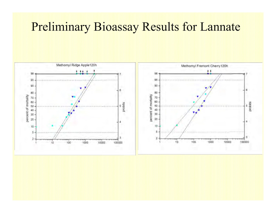## Preliminary Bioassay Results for Lannate

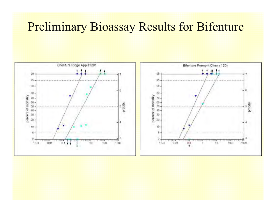## Preliminary Bioassay Results for Bifenture

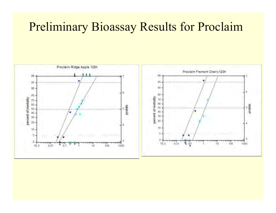## Preliminary Bioassay Results for Proclaim

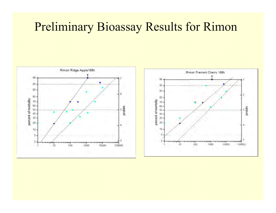#### Preliminary Bioassay Results for Rimon

probles

100000

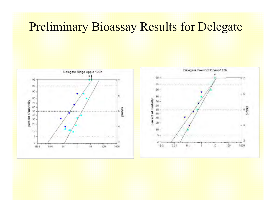## Preliminary Bioassay Results for Delegate

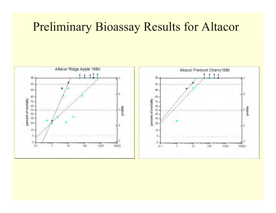## Preliminary Bioassay Results for Altacor

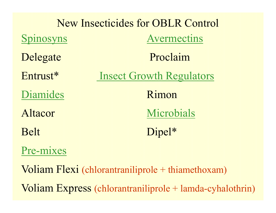| <b>New Insecticides for OBLR Control</b>         |                                 |  |  |
|--------------------------------------------------|---------------------------------|--|--|
| Spinosyns                                        | <b>Avermectins</b>              |  |  |
| Delegate                                         | Proclaim                        |  |  |
| Entrust*                                         | <b>Insect Growth Regulators</b> |  |  |
| Diamides                                         | Rimon                           |  |  |
| Altacor                                          | Microbials                      |  |  |
| <b>Belt</b>                                      | Dipel*                          |  |  |
| Pre-mixes                                        |                                 |  |  |
| Voliam Flexi (chlorantraniliprole + thiamethoxan |                                 |  |  |

Voliam Express (chlorantraniliprole + lamda-cyhalothrin)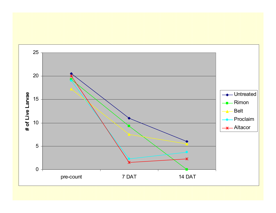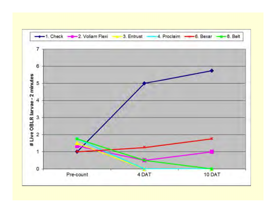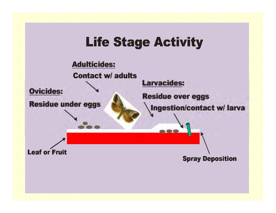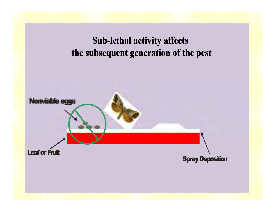#### **Sub-lethal activity affects** the subsequent generation of the pest

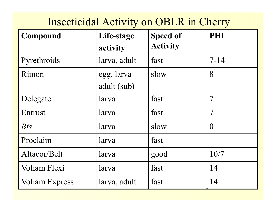## Insecticidal Activity on OBLR in Cherry

| Compound              | Life-stage<br>activity    | <b>Speed of</b><br><b>Activity</b> | PHI            |
|-----------------------|---------------------------|------------------------------------|----------------|
| Pyrethroids           | larva, adult              | fast                               | $7 - 14$       |
| Rimon                 | egg, larva<br>adult (sub) | slow                               | 8              |
| Delegate              | larva                     | fast                               | $\mathcal T$   |
| Entrust               | larva                     | fast                               | $\overline{7}$ |
| <b>Bts</b>            | larva                     | slow                               | $\Omega$       |
| Proclaim              | larva                     | fast                               |                |
| Altacor/Belt          | larva                     | good                               | 10/7           |
| Voliam Flexi          | larva                     | fast                               | 14             |
| <b>Voliam Express</b> | larva, adult              | fast                               | 14             |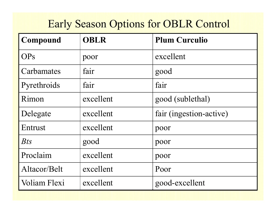### Early Season Options for OBLR Control

| Compound     | <b>OBLR</b> | <b>Plum Curculio</b>    |
|--------------|-------------|-------------------------|
| <b>OPs</b>   | poor        | excellent               |
| Carbamates   | fair        | good                    |
| Pyrethroids  | fair        | fair                    |
| Rimon        | excellent   | good (sublethal)        |
| Delegate     | excellent   | fair (ingestion-active) |
| Entrust      | excellent   | poor                    |
| $B$ ts       | good        | poor                    |
| Proclaim     | excellent   | poor                    |
| Altacor/Belt | excellent   | Poor                    |
| Voliam Flexi | excellent   | good-excellent          |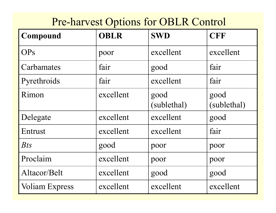#### Pre-harvest Options for OBLR Control

| Compound              | <b>OBLR</b> | <b>SWD</b>          | <b>CFF</b>          |
|-----------------------|-------------|---------------------|---------------------|
| <b>OPs</b>            | poor        | excellent           | excellent           |
| Carbamates            | fair        | good                | fair                |
| Pyrethroids           | fair        | excellent           | fair                |
| Rimon                 | excellent   | good<br>(sublethal) | good<br>(sublethal) |
| Delegate              | excellent   | excellent           | good                |
| Entrust               | excellent   | excellent           | fair                |
| $B$ ts                | good        | poor                | poor                |
| Proclaim              | excellent   | poor                | poor                |
| Altacor/Belt          | excellent   | good                | good                |
| <b>Voliam Express</b> | excellent   | excellent           | excellent           |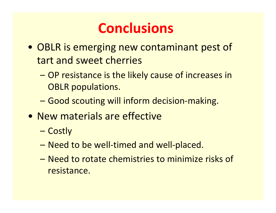## **Conclusions**

- OBLR is emerging new contaminant pest of tart and sweet cherries
	- – OP resistance is the likely cause of increases in OBLR populations.
	- Good scouting will inform decision-making.
- New materials are effective
	- –**Costly**
	- Need to be well-timed and well-placed.
	- – Need to rotate chemistries to minimize risks of resistance.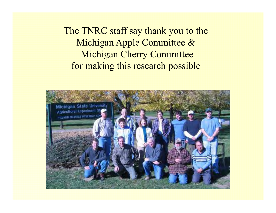The TNRC staff say thank you to theMichigan Apple Committee & Michigan Cherry Committeefor making this research possible